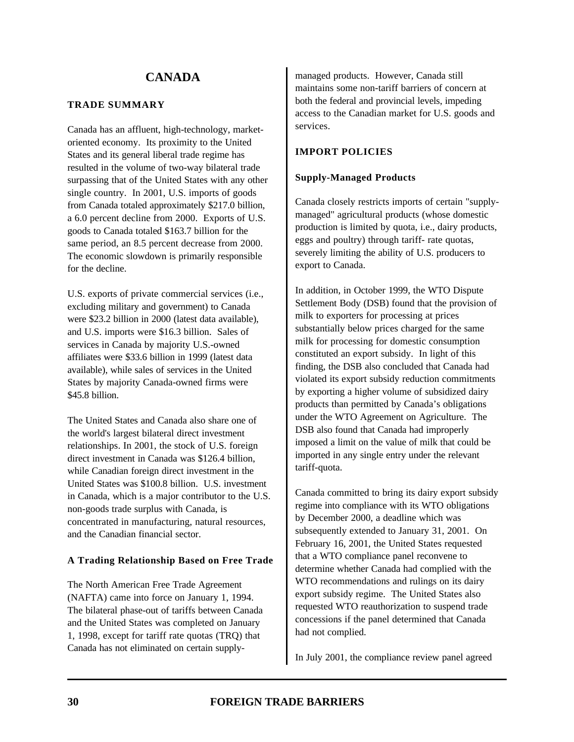### **TRADE SUMMARY**

Canada has an affluent, high-technology, marketoriented economy. Its proximity to the United States and its general liberal trade regime has resulted in the volume of two-way bilateral trade surpassing that of the United States with any other single country. In 2001, U.S. imports of goods from Canada totaled approximately \$217.0 billion, a 6.0 percent decline from 2000. Exports of U.S. goods to Canada totaled \$163.7 billion for the same period, an 8.5 percent decrease from 2000. The economic slowdown is primarily responsible for the decline.

U.S. exports of private commercial services (i.e., excluding military and government) to Canada were \$23.2 billion in 2000 (latest data available), and U.S. imports were \$16.3 billion. Sales of services in Canada by majority U.S.-owned affiliates were \$33.6 billion in 1999 (latest data available), while sales of services in the United States by majority Canada-owned firms were \$45.8 billion.

The United States and Canada also share one of the world's largest bilateral direct investment relationships. In 2001, the stock of U.S. foreign direct investment in Canada was \$126.4 billion, while Canadian foreign direct investment in the United States was \$100.8 billion. U.S. investment in Canada, which is a major contributor to the U.S. non-goods trade surplus with Canada, is concentrated in manufacturing, natural resources, and the Canadian financial sector.

### **A Trading Relationship Based on Free Trade**

The North American Free Trade Agreement (NAFTA) came into force on January 1, 1994. The bilateral phase-out of tariffs between Canada and the United States was completed on January 1, 1998, except for tariff rate quotas (TRQ) that Canada has not eliminated on certain supplymanaged products. However, Canada still maintains some non-tariff barriers of concern at both the federal and provincial levels, impeding access to the Canadian market for U.S. goods and services.

## **IMPORT POLICIES**

### **Supply-Managed Products**

Canada closely restricts imports of certain "supplymanaged" agricultural products (whose domestic production is limited by quota, i.e., dairy products, eggs and poultry) through tariff- rate quotas, severely limiting the ability of U.S. producers to export to Canada.

In addition, in October 1999, the WTO Dispute Settlement Body (DSB) found that the provision of milk to exporters for processing at prices substantially below prices charged for the same milk for processing for domestic consumption constituted an export subsidy. In light of this finding, the DSB also concluded that Canada had violated its export subsidy reduction commitments by exporting a higher volume of subsidized dairy products than permitted by Canada's obligations under the WTO Agreement on Agriculture. The DSB also found that Canada had improperly imposed a limit on the value of milk that could be imported in any single entry under the relevant tariff-quota.

Canada committed to bring its dairy export subsidy regime into compliance with its WTO obligations by December 2000, a deadline which was subsequently extended to January 31, 2001. On February 16, 2001, the United States requested that a WTO compliance panel reconvene to determine whether Canada had complied with the WTO recommendations and rulings on its dairy export subsidy regime. The United States also requested WTO reauthorization to suspend trade concessions if the panel determined that Canada had not complied.

In July 2001, the compliance review panel agreed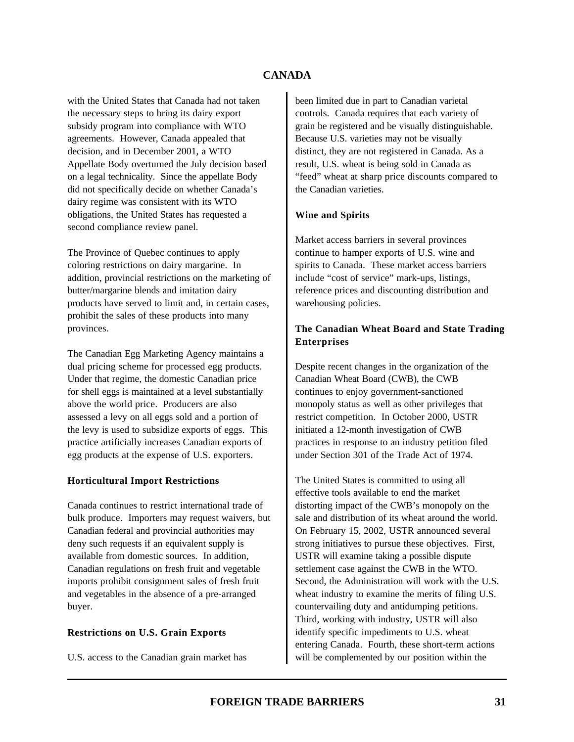with the United States that Canada had not taken the necessary steps to bring its dairy export subsidy program into compliance with WTO agreements. However, Canada appealed that decision, and in December 2001, a WTO Appellate Body overturned the July decision based on a legal technicality. Since the appellate Body did not specifically decide on whether Canada's dairy regime was consistent with its WTO obligations, the United States has requested a second compliance review panel.

The Province of Quebec continues to apply coloring restrictions on dairy margarine. In addition, provincial restrictions on the marketing of butter/margarine blends and imitation dairy products have served to limit and, in certain cases, prohibit the sales of these products into many provinces.

The Canadian Egg Marketing Agency maintains a dual pricing scheme for processed egg products. Under that regime, the domestic Canadian price for shell eggs is maintained at a level substantially above the world price. Producers are also assessed a levy on all eggs sold and a portion of the levy is used to subsidize exports of eggs. This practice artificially increases Canadian exports of egg products at the expense of U.S. exporters.

#### **Horticultural Import Restrictions**

Canada continues to restrict international trade of bulk produce. Importers may request waivers, but Canadian federal and provincial authorities may deny such requests if an equivalent supply is available from domestic sources. In addition, Canadian regulations on fresh fruit and vegetable imports prohibit consignment sales of fresh fruit and vegetables in the absence of a pre-arranged buyer.

#### **Restrictions on U.S. Grain Exports**

U.S. access to the Canadian grain market has

been limited due in part to Canadian varietal controls. Canada requires that each variety of grain be registered and be visually distinguishable. Because U.S. varieties may not be visually distinct, they are not registered in Canada. As a result, U.S. wheat is being sold in Canada as "feed" wheat at sharp price discounts compared to the Canadian varieties.

### **Wine and Spirits**

Market access barriers in several provinces continue to hamper exports of U.S. wine and spirits to Canada. These market access barriers include "cost of service" mark-ups, listings, reference prices and discounting distribution and warehousing policies.

### **The Canadian Wheat Board and State Trading Enterprises**

Despite recent changes in the organization of the Canadian Wheat Board (CWB), the CWB continues to enjoy government-sanctioned monopoly status as well as other privileges that restrict competition. In October 2000, USTR initiated a 12-month investigation of CWB practices in response to an industry petition filed under Section 301 of the Trade Act of 1974.

The United States is committed to using all effective tools available to end the market distorting impact of the CWB's monopoly on the sale and distribution of its wheat around the world. On February 15, 2002, USTR announced several strong initiatives to pursue these objectives. First, USTR will examine taking a possible dispute settlement case against the CWB in the WTO. Second, the Administration will work with the U.S. wheat industry to examine the merits of filing U.S. countervailing duty and antidumping petitions. Third, working with industry, USTR will also identify specific impediments to U.S. wheat entering Canada. Fourth, these short-term actions will be complemented by our position within the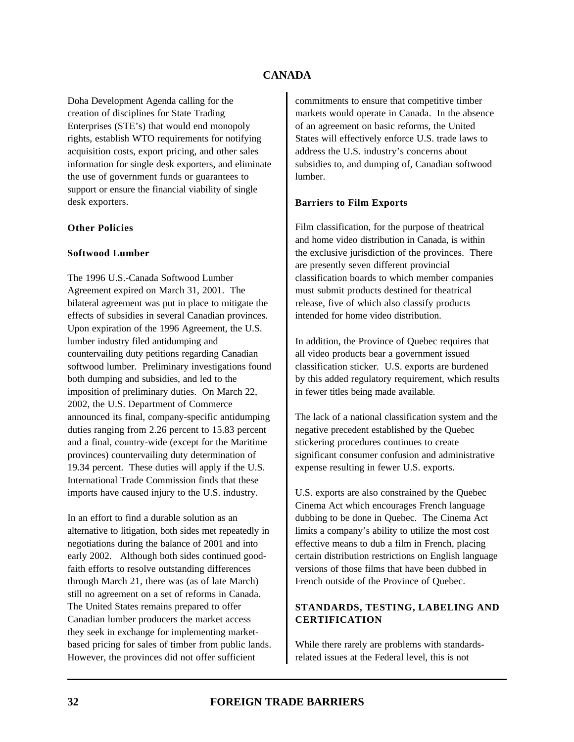Doha Development Agenda calling for the creation of disciplines for State Trading Enterprises (STE's) that would end monopoly rights, establish WTO requirements for notifying acquisition costs, export pricing, and other sales information for single desk exporters, and eliminate the use of government funds or guarantees to support or ensure the financial viability of single desk exporters.

### **Other Policies**

### **Softwood Lumber**

The 1996 U.S.-Canada Softwood Lumber Agreement expired on March 31, 2001. The bilateral agreement was put in place to mitigate the effects of subsidies in several Canadian provinces. Upon expiration of the 1996 Agreement, the U.S. lumber industry filed antidumping and countervailing duty petitions regarding Canadian softwood lumber. Preliminary investigations found both dumping and subsidies, and led to the imposition of preliminary duties. On March 22, 2002, the U.S. Department of Commerce announced its final, company-specific antidumping duties ranging from 2.26 percent to 15.83 percent and a final, country-wide (except for the Maritime provinces) countervailing duty determination of 19.34 percent. These duties will apply if the U.S. International Trade Commission finds that these imports have caused injury to the U.S. industry.

In an effort to find a durable solution as an alternative to litigation, both sides met repeatedly in negotiations during the balance of 2001 and into early 2002. Although both sides continued goodfaith efforts to resolve outstanding differences through March 21, there was (as of late March) still no agreement on a set of reforms in Canada. The United States remains prepared to offer Canadian lumber producers the market access they seek in exchange for implementing marketbased pricing for sales of timber from public lands. However, the provinces did not offer sufficient

commitments to ensure that competitive timber markets would operate in Canada. In the absence of an agreement on basic reforms, the United States will effectively enforce U.S. trade laws to address the U.S. industry's concerns about subsidies to, and dumping of, Canadian softwood lumber.

### **Barriers to Film Exports**

Film classification, for the purpose of theatrical and home video distribution in Canada, is within the exclusive jurisdiction of the provinces. There are presently seven different provincial classification boards to which member companies must submit products destined for theatrical release, five of which also classify products intended for home video distribution.

In addition, the Province of Quebec requires that all video products bear a government issued classification sticker. U.S. exports are burdened by this added regulatory requirement, which results in fewer titles being made available.

The lack of a national classification system and the negative precedent established by the Quebec stickering procedures continues to create significant consumer confusion and administrative expense resulting in fewer U.S. exports.

U.S. exports are also constrained by the Quebec Cinema Act which encourages French language dubbing to be done in Quebec. The Cinema Act limits a company's ability to utilize the most cost effective means to dub a film in French, placing certain distribution restrictions on English language versions of those films that have been dubbed in French outside of the Province of Quebec.

# **STANDARDS, TESTING, LABELING AND CERTIFICATION**

While there rarely are problems with standardsrelated issues at the Federal level, this is not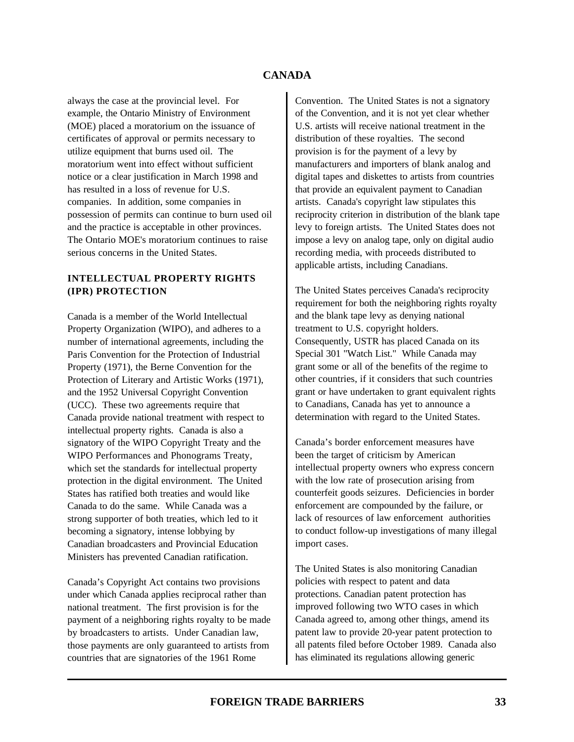always the case at the provincial level. For example, the Ontario Ministry of Environment (MOE) placed a moratorium on the issuance of certificates of approval or permits necessary to utilize equipment that burns used oil. The moratorium went into effect without sufficient notice or a clear justification in March 1998 and has resulted in a loss of revenue for U.S. companies. In addition, some companies in possession of permits can continue to burn used oil and the practice is acceptable in other provinces. The Ontario MOE's moratorium continues to raise serious concerns in the United States.

### **INTELLECTUAL PROPERTY RIGHTS (IPR) PROTECTION**

Canada is a member of the World Intellectual Property Organization (WIPO), and adheres to a number of international agreements, including the Paris Convention for the Protection of Industrial Property (1971), the Berne Convention for the Protection of Literary and Artistic Works (1971), and the 1952 Universal Copyright Convention (UCC). These two agreements require that Canada provide national treatment with respect to intellectual property rights. Canada is also a signatory of the WIPO Copyright Treaty and the WIPO Performances and Phonograms Treaty, which set the standards for intellectual property protection in the digital environment. The United States has ratified both treaties and would like Canada to do the same. While Canada was a strong supporter of both treaties, which led to it becoming a signatory, intense lobbying by Canadian broadcasters and Provincial Education Ministers has prevented Canadian ratification.

Canada's Copyright Act contains two provisions under which Canada applies reciprocal rather than national treatment. The first provision is for the payment of a neighboring rights royalty to be made by broadcasters to artists. Under Canadian law, those payments are only guaranteed to artists from countries that are signatories of the 1961 Rome

Convention. The United States is not a signatory of the Convention, and it is not yet clear whether U.S. artists will receive national treatment in the distribution of these royalties. The second provision is for the payment of a levy by manufacturers and importers of blank analog and digital tapes and diskettes to artists from countries that provide an equivalent payment to Canadian artists. Canada's copyright law stipulates this reciprocity criterion in distribution of the blank tape levy to foreign artists. The United States does not impose a levy on analog tape, only on digital audio recording media, with proceeds distributed to applicable artists, including Canadians.

The United States perceives Canada's reciprocity requirement for both the neighboring rights royalty and the blank tape levy as denying national treatment to U.S. copyright holders. Consequently, USTR has placed Canada on its Special 301 "Watch List." While Canada may grant some or all of the benefits of the regime to other countries, if it considers that such countries grant or have undertaken to grant equivalent rights to Canadians, Canada has yet to announce a determination with regard to the United States.

Canada's border enforcement measures have been the target of criticism by American intellectual property owners who express concern with the low rate of prosecution arising from counterfeit goods seizures. Deficiencies in border enforcement are compounded by the failure, or lack of resources of law enforcement authorities to conduct follow-up investigations of many illegal import cases.

The United States is also monitoring Canadian policies with respect to patent and data protections. Canadian patent protection has improved following two WTO cases in which Canada agreed to, among other things, amend its patent law to provide 20-year patent protection to all patents filed before October 1989. Canada also has eliminated its regulations allowing generic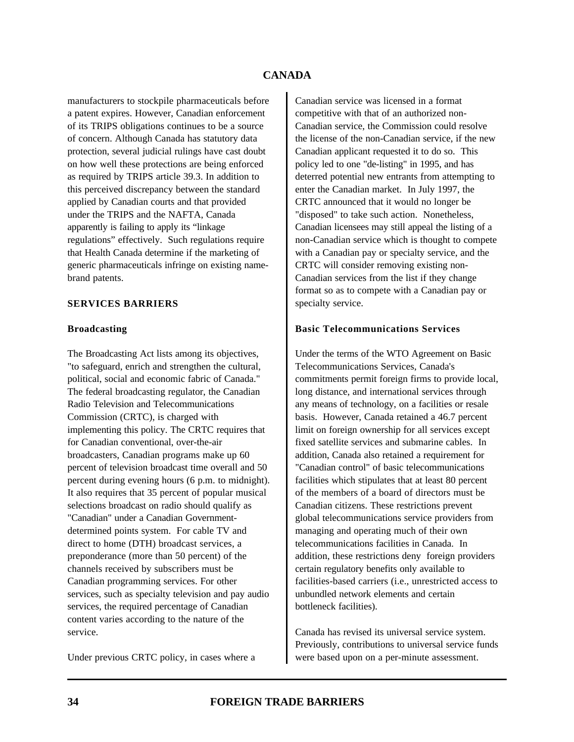manufacturers to stockpile pharmaceuticals before a patent expires. However, Canadian enforcement of its TRIPS obligations continues to be a source of concern. Although Canada has statutory data protection, several judicial rulings have cast doubt on how well these protections are being enforced as required by TRIPS article 39.3. In addition to this perceived discrepancy between the standard applied by Canadian courts and that provided under the TRIPS and the NAFTA, Canada apparently is failing to apply its "linkage regulations" effectively. Such regulations require that Health Canada determine if the marketing of generic pharmaceuticals infringe on existing namebrand patents.

### **SERVICES BARRIERS**

#### **Broadcasting**

The Broadcasting Act lists among its objectives, "to safeguard, enrich and strengthen the cultural, political, social and economic fabric of Canada." The federal broadcasting regulator, the Canadian Radio Television and Telecommunications Commission (CRTC), is charged with implementing this policy. The CRTC requires that for Canadian conventional, over-the-air broadcasters, Canadian programs make up 60 percent of television broadcast time overall and 50 percent during evening hours (6 p.m. to midnight). It also requires that 35 percent of popular musical selections broadcast on radio should qualify as "Canadian" under a Canadian Governmentdetermined points system. For cable TV and direct to home (DTH) broadcast services, a preponderance (more than 50 percent) of the channels received by subscribers must be Canadian programming services. For other services, such as specialty television and pay audio services, the required percentage of Canadian content varies according to the nature of the service.

Under previous CRTC policy, in cases where a

Canadian service was licensed in a format competitive with that of an authorized non-Canadian service, the Commission could resolve the license of the non-Canadian service, if the new Canadian applicant requested it to do so. This policy led to one "de-listing" in 1995, and has deterred potential new entrants from attempting to enter the Canadian market. In July 1997, the CRTC announced that it would no longer be "disposed" to take such action. Nonetheless, Canadian licensees may still appeal the listing of a non-Canadian service which is thought to compete with a Canadian pay or specialty service, and the CRTC will consider removing existing non-Canadian services from the list if they change format so as to compete with a Canadian pay or specialty service.

#### **Basic Telecommunications Services**

Under the terms of the WTO Agreement on Basic Telecommunications Services, Canada's commitments permit foreign firms to provide local, long distance, and international services through any means of technology, on a facilities or resale basis. However, Canada retained a 46.7 percent limit on foreign ownership for all services except fixed satellite services and submarine cables. In addition, Canada also retained a requirement for "Canadian control" of basic telecommunications facilities which stipulates that at least 80 percent of the members of a board of directors must be Canadian citizens. These restrictions prevent global telecommunications service providers from managing and operating much of their own telecommunications facilities in Canada. In addition, these restrictions deny foreign providers certain regulatory benefits only available to facilities-based carriers (i.e., unrestricted access to unbundled network elements and certain bottleneck facilities).

Canada has revised its universal service system. Previously, contributions to universal service funds were based upon on a per-minute assessment.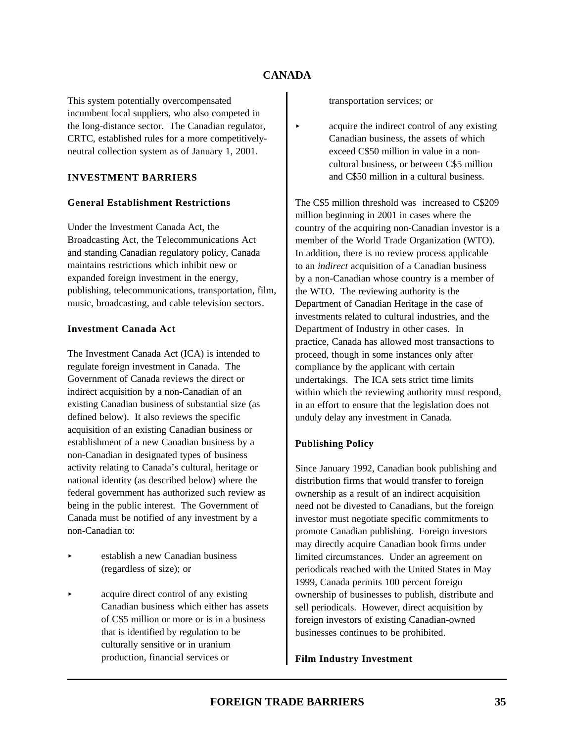This system potentially overcompensated incumbent local suppliers, who also competed in the long-distance sector. The Canadian regulator, CRTC, established rules for a more competitivelyneutral collection system as of January 1, 2001.

### **INVESTMENT BARRIERS**

#### **General Establishment Restrictions**

Under the Investment Canada Act, the Broadcasting Act, the Telecommunications Act and standing Canadian regulatory policy, Canada maintains restrictions which inhibit new or expanded foreign investment in the energy, publishing, telecommunications, transportation, film, music, broadcasting, and cable television sectors.

### **Investment Canada Act**

The Investment Canada Act (ICA) is intended to regulate foreign investment in Canada. The Government of Canada reviews the direct or indirect acquisition by a non-Canadian of an existing Canadian business of substantial size (as defined below). It also reviews the specific acquisition of an existing Canadian business or establishment of a new Canadian business by a non-Canadian in designated types of business activity relating to Canada's cultural, heritage or national identity (as described below) where the federal government has authorized such review as being in the public interest. The Government of Canada must be notified of any investment by a non-Canadian to:

- < establish a new Canadian business (regardless of size); or
- < acquire direct control of any existing Canadian business which either has assets of C\$5 million or more or is in a business that is identified by regulation to be culturally sensitive or in uranium production, financial services or

transportation services; or

< acquire the indirect control of any existing Canadian business, the assets of which exceed C\$50 million in value in a noncultural business, or between C\$5 million and C\$50 million in a cultural business.

The C\$5 million threshold was increased to C\$209 million beginning in 2001 in cases where the country of the acquiring non-Canadian investor is a member of the World Trade Organization (WTO). In addition, there is no review process applicable to an *indirect* acquisition of a Canadian business by a non-Canadian whose country is a member of the WTO. The reviewing authority is the Department of Canadian Heritage in the case of investments related to cultural industries, and the Department of Industry in other cases. In practice, Canada has allowed most transactions to proceed, though in some instances only after compliance by the applicant with certain undertakings. The ICA sets strict time limits within which the reviewing authority must respond, in an effort to ensure that the legislation does not unduly delay any investment in Canada.

### **Publishing Policy**

Since January 1992, Canadian book publishing and distribution firms that would transfer to foreign ownership as a result of an indirect acquisition need not be divested to Canadians, but the foreign investor must negotiate specific commitments to promote Canadian publishing. Foreign investors may directly acquire Canadian book firms under limited circumstances. Under an agreement on periodicals reached with the United States in May 1999, Canada permits 100 percent foreign ownership of businesses to publish, distribute and sell periodicals. However, direct acquisition by foreign investors of existing Canadian-owned businesses continues to be prohibited.

#### **Film Industry Investment**